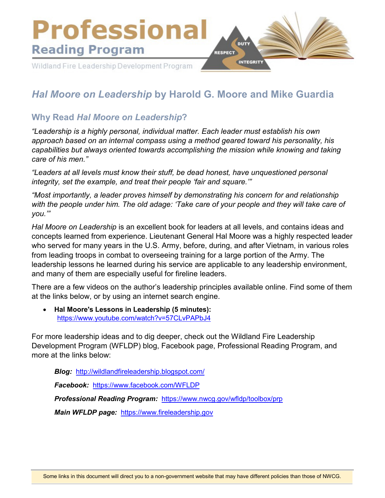

# *Hal Moore on Leadership* **by Harold G. Moore and Mike Guardia**

# **Why Read** *Hal Moore on Leadership***?**

*"Leadership is a highly personal, individual matter. Each leader must establish his own approach based on an internal compass using a method geared toward his personality, his capabilities but always oriented towards accomplishing the mission while knowing and taking care of his men."*

*"Leaders at all levels must know their stuff, be dead honest, have unquestioned personal integrity, set the example, and treat their people 'fair and square.'"*

*"Most importantly, a leader proves himself by demonstrating his concern for and relationship with the people under him. The old adage: 'Take care of your people and they will take care of you.'"*

*Hal Moore on Leadership* is an excellent book for leaders at all levels, and contains ideas and concepts learned from experience. Lieutenant General Hal Moore was a highly respected leader who served for many years in the U.S. Army, before, during, and after Vietnam, in various roles from leading troops in combat to overseeing training for a large portion of the Army. The leadership lessons he learned during his service are applicable to any leadership environment, and many of them are especially useful for fireline leaders.

There are a few videos on the author's leadership principles available online. Find some of them at the links below, or by using an internet search engine.

• **Hal Moore's Lessons in Leadership (5 minutes):**  https://www.youtube.com/watch?v=57CLvPAPbJ4

For more leadership ideas and to dig deeper, check out the Wildland Fire Leadership Development Program (WFLDP) blog, Facebook page, Professional Reading Program, and more at the links below:

*Blog:* <http://wildlandfireleadership.blogspot.com/> *Facebook:* <https://www.facebook.com/WFLDP> *Professional Reading Program:* <https://www.nwcg.gov/wfldp/toolbox/prp> *Main WFLDP page:* [https://www.fireleadership.gov](https://www.fireleadership.gov/)